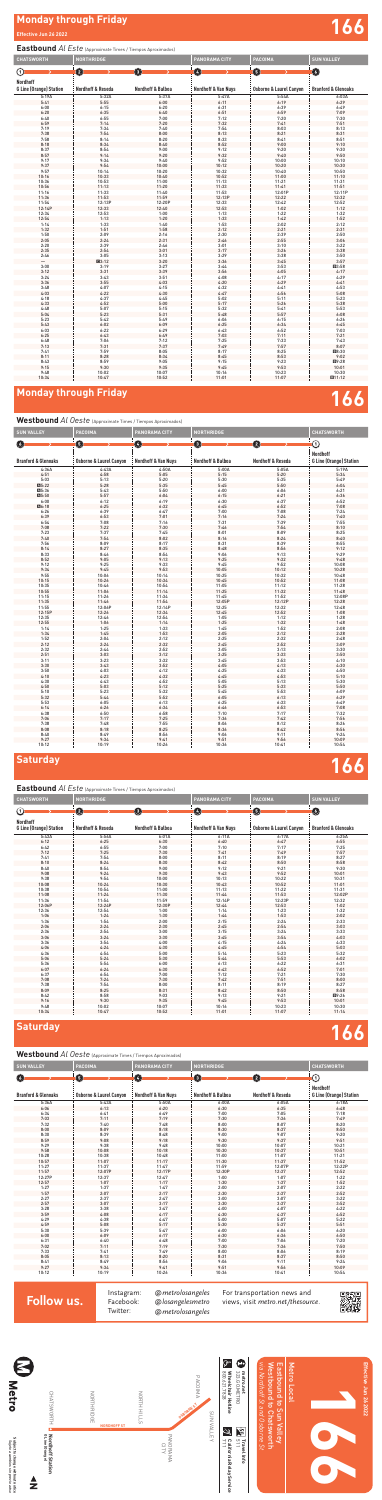# **Monday through Friday Effective Jun 26 2022 166**









**Effective Jun 26 2022**

Effective Jun 26 2022

## **Saturday 166**

## **Saturday 166**

## **Westbound** *Al Oeste* (Approximate Times / Tiempos Aproximados)

#### **Eastbound** *Al Este* (Approximate Times / Tiempos Aproximados)

### **Westbound** *Al Oeste* (Approximate Times / Tiempos Aproximados)

| <b>CHATSWORTH</b>                                 | <b>NORTHRIDGE</b> |                   | PANORAMA CITY                  | PACOIMA                            | <b>SUN VALLEY</b>              |
|---------------------------------------------------|-------------------|-------------------|--------------------------------|------------------------------------|--------------------------------|
| $\rm \odot$                                       | 2                 | 0                 | Ø                              | 0                                  | $\bullet$                      |
| <b>Nordhoff</b><br><b>G Line (Orange) Station</b> | Nordhoff & Reseda | Nordhoff & Balboa | <b>Nordhoff &amp; Van Nuys</b> | <b>Osborne &amp; Laurel Canyon</b> | <b>Branford &amp; Glenoaks</b> |
| 5:19A                                             | 5:32A             | 5:37A             | 5:47A                          | 5:54A                              | 6:03A                          |
| 5:41                                              | 5:55              | 6:00              | 6:11                           | 6:19                               | 6:29                           |
| 6:00                                              | 6:15              | 6:20              | 6:31                           | 6:39                               | 6:49                           |
| 6:20                                              | 6:35              | 6:40              | 6:51                           | 6:59                               | 7:09                           |
| 6:40                                              | 6:55              | 7:00              | 7:12                           | 7:20                               | 7:30                           |
| 6:59                                              | 7:14              | 7:20              | 7:32                           | 7:41                               | 7:51                           |
| 7:19                                              | 7:34              | 7:40              | 7:54                           | 8:03                               | 8:13                           |
| 7:38                                              | 7:54              | 8:00              | 8:13                           | 8:21                               | 8:31                           |
| 7:58                                              | 8:14              | 8:20              | 8:33                           | 8:41                               | 8:51                           |
| 8:18                                              | 8:34              | 8:40              | 8:52                           | 9:00                               | 9:10                           |
| 8:37                                              | 8:54              | 9:00              | 9:12                           | 9:20                               | 9:30                           |
| 8:57                                              | 9:14              | 9:20              | 9:32                           | 9:40                               | 9:50                           |
| 9:17                                              | 9:34              | 9:40              | 9:52                           | 10:00                              | 10:10                          |
| 9:37                                              | 9:54              | 10:00             | 10:12                          | 10:20                              | 10:30                          |
| 9:57                                              | 10:14             | 10:20             | 10:32                          | 10:40                              | 10:50                          |
| 10:16                                             | 10:33             | 10:40             | 10:52                          | 11:00                              | 11:10                          |
| 10:36                                             | 10:53             | 11:00             | 11:13                          | 11:21                              | 11:31                          |
| 10:56                                             | 11:13             | 11:20             | 11:33                          | 11:41                              | 11:51                          |
| 11:16                                             | 11:33             | 11:40             | 11:53                          | 12:01P                             | 12:11P                         |
| 11:36                                             | 11:53             | 11:59             | 12:13P                         | 12:22                              | 12:32                          |
| 11:54                                             | 12:13P            | 12:20P            | 12:33                          | 12:42                              | 12:52                          |
| 12:14P                                            | 12:33             | 12:40             | 12:53                          | 1:02                               | 1:12                           |
| 12:34                                             | 12:53             | 1:00              | 1:13                           | 1:22                               | 1:32                           |
| 12:54                                             | 1:13              | 1:20              | 1:33                           | 1:42                               | 1:52                           |
| 1:14                                              | 1:33              | 1:40              | 1:53                           | 2:02                               | 2:12                           |
| 1:32                                              | 1:51              | 1:58              | 2:12                           | 2:21                               | 2:31                           |
| 1:50                                              | 2:09              | 2:16              | 2:30                           | 2:39                               | 2:50                           |
| 2:05                                              | 2:24              | 2:31              | 2:46                           | 2:55                               | 3:06                           |
| 2:20                                              | 2:39              | 2:46              | 3:01                           | 3:10                               | 3:22                           |
| 2:35                                              | 2:54              | 3:01              | 3:17                           | 3:26                               | 3:38                           |
| 2:46                                              | 3:05              | 3:13              | 3:29                           | 3:38                               | 3:50                           |
|                                                   | Q3:12             | 3:20              | 3:36<br>3:44                   | 3:45                               | 3:57                           |
| 3:00                                              | 3:19<br>3:31      | 3:27<br>3:39      |                                | 3:53                               | ■3:58                          |
| 3:12                                              |                   |                   | 3:56                           | 4:05                               | 4:17                           |
| 3:24<br>3:36                                      | 3:43<br>3:55      | 3:51<br>4:03      | 4:08<br>4:20                   | 4:17<br>4:29                       | 4:29<br>4:41                   |
| 3:48                                              | 4:07              | 4:15              | 4:32                           | 4:41                               | 4:53                           |
| 4:03                                              | 4:22              | 4:30              | 4:47                           | 4:56                               | 5:08                           |
| 4:18                                              | 4:37              | 4:45              | 5:02                           | 5:11                               | 5:23                           |
| 4:33                                              | 4:52              | 5:00              | 5:17                           | 5:26                               | 5:38                           |
| 4:48                                              | 5:07              | 5:15              | 5:32                           | 5:41                               | 5:53                           |
| 5:04                                              | 5:23              | 5:31              | 5:48                           | 5:57                               | 6:08                           |
| 5:23                                              | 5:42              | 5:49              | 6:06                           | 6:15                               | 6:26                           |
| 5:43                                              | 6:02              | 6:09              | 6:25                           | 6:34                               | 6:45                           |
| 6:03                                              | 6:22              | 6:29              | 6:43                           | 6:52                               | 7:03                           |
| 6:25                                              | 6:43              | 6:49              | 7:03                           | 7:11                               | 7:21                           |
| 6:48                                              | 7:06              | 7:12              | 7:25                           | 7:33                               | 7:43                           |
| 7:13                                              | 7:31              | 7:37              | 7:49                           | 7:57                               | 8:07                           |
| 7:41                                              | 7:59              | 8:05              | 8:17                           | 8:25                               | ■8:30                          |
| 8:11                                              | 8:28              | 8:34              | 8:45                           | 8:53                               | 9:02                           |
| 8:43                                              | 8:59              | 9:05              | 9:15                           | 9:23                               | 图9:28                          |
| 9:15                                              | 9:30              | 9:35              | 9:45                           | 9:53                               | 10:01                          |
| 9:48                                              | 10:02             | 10:07             | 10:16                          | 10:23                              | 10:30                          |
| 10:34                                             | 10:47             | 10:52             | 11:01                          | 11:07                              | ■11:12                         |
|                                                   |                   |                   |                                |                                    |                                |

# Monday through Friday **166**

#### **Eastbound** *Al Este* (Approximate Times / Tiempos Aproximados)

| <b>SUN VALLEY</b>              | <b>PACOIMA</b>                     | PANORAMA CITY                  | NORTHRIDGE                   |                              | <b>CHATSWORTH</b>                                 |
|--------------------------------|------------------------------------|--------------------------------|------------------------------|------------------------------|---------------------------------------------------|
| $\epsilon$                     | 0                                  | Ø                              | O                            | 2                            | $\odot$                                           |
| <b>Branford &amp; Glenoaks</b> |                                    | <b>Nordhoff &amp; Van Nuys</b> | <b>Nordhoff &amp; Balboa</b> | <b>Nordhoff &amp; Reseda</b> | <b>Nordhoff</b><br><b>G Line (Orange) Station</b> |
|                                | <b>Osborne &amp; Laurel Canyon</b> |                                |                              |                              |                                                   |
| 4:36A                          | 4:43A                              | 4:50A                          | 5:00A                        | 5:05A                        | 5:19A                                             |
| 4:51                           | 4:58                               | 5:05                           | 5:15                         | 5:20                         | 5:34                                              |
| 5:03                           | 5:13                               | 5:20                           | 5:30                         | 5:35                         | 5:49                                              |
| ■5:22                          | 5:28                               | 5:35                           | 5:45                         | 5:50                         | 6:04                                              |
| 45:36                          | 5:43                               | 5:50                           | 6:00                         | 6:06                         | 6:21                                              |
| 45:50                          | 5:57                               | 6:04                           | 6:15                         | 6:21                         | 6:36                                              |
| 6:00                           | 6:12                               | 6:19                           | 6:30                         | 6:37                         | 6:52                                              |
| ■6:18                          | 6:25                               | 6:32                           | 6:45                         | 6:52                         | 7:08                                              |
| 6:26                           | 6:39                               | 6:47                           | 7:00                         | 7:08                         | 7:24                                              |
| 6:39                           | 6:53                               | 7:01                           | 7:16                         | 7:24                         | 7:40                                              |
| 6:54                           | 7:08                               | 7:16                           | 7:31                         | 7:39                         | 7:55                                              |
| 7:08                           | 7:22                               | 7:30                           | 7:46                         | 7:54                         | 8:10                                              |
| 7:23                           | 7:37                               | 7:45                           | 8:01                         | 8:09                         | 8:25                                              |
| 7:40                           | 7:54                               | 8:02                           | 8:16                         | 8:24                         | 8:40                                              |
| 7:56                           | 8:09                               | 8:17                           | 8:31                         | 8:39                         | 8:55                                              |
| 8:14                           | 8:27                               | 8:35                           | 8:48                         | 8:56                         | 9:12                                              |
| 8:33                           | 8:46                               | 8:54                           | 9:06                         | 9:13                         | 9:29                                              |
| 8:52                           | 9:05                               | 9:13                           | 9:25                         | 9:32                         | 9:48                                              |
| 9:12                           | 9:25                               | 9:33                           | 9:45                         | 9:52                         | 10:08                                             |
| 9:34                           | 9:45                               | 9:53                           | 10:05                        | 10:12                        | 10:28                                             |
| 9:55                           | 10:06                              | 10:14                          | 10:25                        | 10:32                        | 10:48                                             |
| 10:15                          | 10:26                              | 10:34                          | 10:45                        | 10:52                        | 11:08                                             |
| 10:35                          | 10:46                              | 10:54                          | 11:05                        | 11:12                        | 11:28                                             |
| 10:55                          | 11:06                              | 11:14                          | 11:25                        | 11:32                        | 11:48                                             |
| 11:15                          | 11:26                              | 11:34                          | 11:45                        | 11:52                        | 12:08P                                            |
| 11:35                          | 11:46                              | 11:54                          | 12:05P                       | 12:12P                       | 12:28                                             |
| 11:55                          | 12:06P                             | 12:14P                         | 12:25                        | 12:32                        | 12:48                                             |
| 12:15P                         | 12:26                              | 12:34                          | 12:45                        | 12:52                        | 1:08                                              |
| 12:35                          | 12:46                              | 12:54                          | 1:05                         | 1:12                         | 1:28                                              |
| 12:55                          | 1:06                               | 1:14                           | 1:25                         | 1:32                         | 1:48                                              |
| 1:14                           | 1:25                               | 1:33                           | 1:45                         | 1:52                         | 2:08                                              |
| 1:34                           | 1:45                               | 1:53                           | 2:05                         | 2:12                         | 2:28                                              |
| 1:52                           | 2:04                               | 2:12                           | 2:25                         | 2:32                         | 2:48                                              |
| 2:12                           | 2:24                               | 2:32                           | 2:45                         | 2:52                         | 3:09                                              |
| 2:32                           | 2:44                               | 2:52                           | 3:05                         | 3:13                         | 3:30                                              |
| 2:51                           | 3:03                               | 3:12                           | 3:25                         | 3:33                         | 3:50                                              |
| 3:11                           | 3:23                               | 3:32                           | 3:45                         |                              | 4:10                                              |
|                                |                                    | 3:52                           | 4:05                         | 3:53                         | 4:30                                              |
| 3:30                           | 3:43                               |                                |                              | 4:13                         |                                                   |
| 3:50                           | 4:03                               | 4:12                           | 4:25                         | 4:33                         | 4:50                                              |
| 4:10                           | 4:23                               | 4:32                           | 4:45                         | 4:53                         | 5:10                                              |
| 4:30                           | 4:43                               | 4:52                           | 5:05                         | 5:13                         | 5:30                                              |
| 4:50                           | 5:03                               | 5:12                           | 5:25                         | 5:33                         | 5:50                                              |
| 5:10                           | 5:23                               | 5:32                           | 5:45                         | 5:53                         | 6:09                                              |
| 5:32                           | 5:44                               | 5:52                           | 6:05                         | 6:13                         | 6:29                                              |
| 5:53                           | 6:05                               | 6:13                           | 6:25                         | 6:33                         | 6:49                                              |
| 6:14                           | 6:26                               | 6:34                           | 6:46                         | 6:53                         | 7:08                                              |
| 6:38                           | 6:50                               | 6:58                           | 7:10                         | 7:17                         | 7:32                                              |
| 7:06                           | 7:17                               | 7:25                           | 7:36                         | 7:42                         | 7:56                                              |
| 7:38                           | 7:48                               | 7:55                           | 8:06                         | 8:12                         | 8:26                                              |
| 8:08                           | 8:18                               | 8:25                           | 8:36                         | 8:42                         | 8:56                                              |
| 8:40                           | 8:49                               | 8:56                           | 9:06                         | 9:11                         | 9:24                                              |
| 9:27                           | 9:34                               | 9:41                           | 9:51                         | 9:56                         | 10:09                                             |
| 10:12                          | 10:19                              | 10:26                          | 10:36                        | 10:41                        | 10:54                                             |

| <b>CHATSWORTH</b>              | <b>NORTHRIDGE</b> |                              | <b>PANORAMA CITY</b>           | <b>PACOIMA</b>                     | <b>SUN VALLEY</b>              |
|--------------------------------|-------------------|------------------------------|--------------------------------|------------------------------------|--------------------------------|
|                                |                   |                              |                                |                                    |                                |
| $\rm \odot$                    | $\mathbf  \Theta$ | 0                            | Ø                              | ❺                                  | ➊                              |
| <b>Nordhoff</b>                |                   |                              |                                |                                    |                                |
| <b>G Line (Orange) Station</b> | Nordhoff & Reseda | <b>Nordhoff &amp; Balboa</b> | <b>Nordhoff &amp; Van Nuys</b> | <b>Osborne &amp; Laurel Canyon</b> | <b>Branford &amp; Glenoaks</b> |
|                                |                   |                              |                                |                                    |                                |
| 5:43A                          | 5:56A             | 6:01A                        | 6:11A                          | 6:17A                              | 6:25A                          |
| 6:12                           | 6:25              | 6:30                         | 6:40                           | 6:47                               | 6:55                           |
| 6:42                           | 6:55              | 7:00                         | 7:10                           | 7:17                               | 7:25                           |
| 7:12                           | 7:25              | 7:30                         | 7:41                           | 7:49                               | 7:57                           |
| 7:41                           | 7:54              | 8:00                         | 8:11                           | 8:19                               | 8:27                           |
| 8:10                           | 8:24              | 8:30                         | 8:42                           | 8:50                               | 8:58                           |
| 8:40                           | 8:54              | 9:00                         | 9:12                           | 9:21                               | 9:30                           |
| 9:08                           | 9:24              | 9:30                         | 9:43                           | 9:52                               | 10:01                          |
| 9:38                           | 9:54              | 10:00                        | 10:13                          | 10:22                              | 10:31                          |
| 10:08                          | 10:24             | 10:30                        | 10:43                          | 10:52                              | 11:01                          |
| 10:38                          | 10:54             | 11:00                        | 11:13                          | 11:22                              | 11:31                          |
| 11:08                          | 11:24             | 11:30                        | 11:44                          | 11:53                              | 12:02P                         |
| 11:36                          | 11:54             | 11:59                        | 12:14P                         | 12:23P                             | 12:32                          |
| 12:06P                         | 12:24P            | 12:30P                       | 12:44                          | 12:53                              | 1:02                           |
| 12:36                          | 12:54             | 1:00                         | 1:14                           | 1:23                               | 1:32                           |
| 1:06                           | 1:24              | 1:30                         | 1:44                           | 1:53                               | 2:02                           |
| 1:36                           | 1:54              | 2:00                         | 2:15                           | 2:24                               | 2:33                           |
| 2:06                           | 2:24              | 2:30                         | 2:45                           | 2:54                               | 3:03                           |
| 2:36                           | 2:54              | 3:00                         | 3:15                           | 3:24                               | 3:33                           |
| 3:06                           | 3:24              | 3:30                         | 3:45                           | 3:54                               | 4:03                           |
| 3:36                           | 3:54              | 4:00                         | 4:15                           | 4:24                               | 4:33                           |
| 4:06                           | 4:24              | 4:30                         | 4:45                           | 4:54                               | 5:03                           |
| 4:36                           | 4:54              | 5:00                         | 5:14                           | 5:23                               | 5:32                           |
| 5:06                           | 5:24              | 5:30                         | 5:44                           | 5:53                               | 6:02                           |
| 5:36                           | 5:54              | 6:00                         | 6:13                           | 6:22                               | 6:31                           |
| 6:07                           | 6:24              | 6:30                         | 6:43                           | 6:52                               | 7:01                           |
| 6:37                           | 6:54              | 7:00                         | 7:12                           | 7:21                               | 7:30                           |
| 7:08                           | 7:24              | 7:30                         | 7:42                           | 7:51                               | 8:00                           |
| 7:38                           | 7:54              | 8:00                         | 8:11                           | 8:19                               | 8:27                           |
| 8:09                           | 8:25              | 8:31                         | 8:42                           | 8:50                               | 8:58                           |
| 8:42                           | 8:58              | 9:03                         | 9:13                           | 9:21                               | 图9:26                          |
| 9:16                           | 9:30              | 9:35                         | 9:45                           | 9:53                               | 10:01                          |
| 9:48                           | 10:02             | 10:07                        | 10:16                          | 10:23                              | 10:30                          |
| 10:34                          | 10:47             | 10:52                        | 11:01                          | 11:07                              | 11:14                          |

| second provincie innest nempos aproximados, |                                    |                                |                   |                              |                                                   |  |
|---------------------------------------------|------------------------------------|--------------------------------|-------------------|------------------------------|---------------------------------------------------|--|
| <b>SUN VALLEY</b>                           | <b>PACOIMA</b>                     | PANORAMA CITY                  | <b>NORTHRIDGE</b> |                              | <b>CHATSWORTH</b>                                 |  |
| O                                           | $\bullet$                          | Ø                              | 0                 | 0                            | $\rm{O}$                                          |  |
| <b>Branford &amp; Glenoaks</b>              | <b>Osborne &amp; Laurel Canyon</b> | <b>Nordhoff &amp; Van Nuys</b> | Nordhoff & Balboa | <b>Nordhoff &amp; Reseda</b> | <b>Nordhoff</b><br><b>G Line (Orange) Station</b> |  |
| 5:36A                                       | 5:43A                              | 5:50A                          | 6:00A             | 6:05A                        | 6:18A                                             |  |
| 6:06                                        | 6:13                               | 6:20                           | 6:30              | 6:35                         | 6:48                                              |  |
| 6:34                                        | 6:41                               | 6:49                           | 7:00              | 7:05                         | 7:18                                              |  |
| 7:03                                        | 7:11                               | 7:19                           | 7:30              | 7:36                         | 7:49                                              |  |
| 7:32                                        | 7:40                               | 7:48                           | 8:00              | 8:07                         | 8:20                                              |  |
| 8:00                                        | 8:09                               | 8:18                           | 8:30              | 8:37                         | 8:50                                              |  |
| 8:30                                        | 8:39                               | 8:48                           | 9:00              | 9:07                         | 9:20                                              |  |
| 8:59                                        | 9:08                               | 9:18                           | 9:30              | 9:37                         | 9:51                                              |  |
| 9:29                                        | 9:38                               | 9:48                           | 10:00             | 10:07                        | 10:21                                             |  |
| 9:58                                        | 10:08                              | 10:18                          | 10:30             | 10:37                        | 10:51                                             |  |
| 10:28                                       | 10:38                              | 10:48                          | 11:00             | 11:07                        | 11:21                                             |  |
| 10:57                                       | 11:07                              | 11:17                          | 11:30             | 11:37                        | 11:52                                             |  |
| 11:27                                       | 11:37                              | 11:47                          | 11:59             | 12:07P                       | 12:22P                                            |  |
| 11:57                                       | 12:07P                             | 12:17P                         | 12:30P            | 12:37                        | 12:52                                             |  |
| 12:27P                                      | 12:37                              | 12:47                          | 1:00              | 1:07                         | 1:22                                              |  |
| 12:57                                       | 1:07                               | 1:17                           | 1:30              | 1:37                         | 1:52                                              |  |
| 1:27                                        | 1:37                               | 1:47                           | 2:00              | 2:07                         | 2:22                                              |  |
| 1:57                                        | 2:07                               | 2:17                           | 2:30              | 2:37                         | 2:52                                              |  |
| 2:27                                        | 2:37                               | 2:47                           | 3:00              | 3:07                         | 3:22                                              |  |
| 2:57                                        | 3:07                               | 3:17                           | 3:30              | 3:37                         | 3:52                                              |  |
| 3:28                                        | 3:38                               | 3:47                           | 4:00              | 4:07                         | 4:22                                              |  |
| 3:59                                        | 4:08                               | 4:17                           | 4:30              | 4:37                         | 4:52                                              |  |
| 4:29                                        | 4:38                               | 4:47                           | 5:00              | 5:07                         | 5:22                                              |  |
| 4:59                                        | 5:08                               | 5:17                           | 5:30              | 5:37                         | 5:51                                              |  |
| 5:30                                        | 5:39                               | 5:47                           | 6:00              | 6:06                         | 6:20                                              |  |
| 6:00                                        | 6:09                               | 6:17                           | 6:30              | 6:36                         | 6:50                                              |  |
| 6:31                                        | 6:40                               | 6:48                           | 7:00              | 7:06                         | 7:20                                              |  |
| 7:02                                        | 7:11                               | 7:19                           | 7:30              | 7:36                         | 7:50                                              |  |
| 7:33                                        | 7:41                               | 7:49                           | 8:00              | 8:06                         | 8:19                                              |  |
| 8:05                                        | 8:13                               | 8:20                           | 8:31              | 8:37                         | 8:50                                              |  |
| 8:41                                        | 8:49                               | 8:56                           | 9:06              | 9:11                         | 9:24                                              |  |
| 9:27                                        | 9:34                               | 9:41                           | 9:51              | 9:56                         | 10:09                                             |  |
| 10:12                                       | 10:19                              | 10:26                          | 10:36             | 10:41                        | 10:54                                             |  |

Instagram: Facebook: Twitter:

For transportation news and views, visit metro.net/thesource.



@metrolosangeles @losangelesmetro @metrolosangeles

**Follow us.**